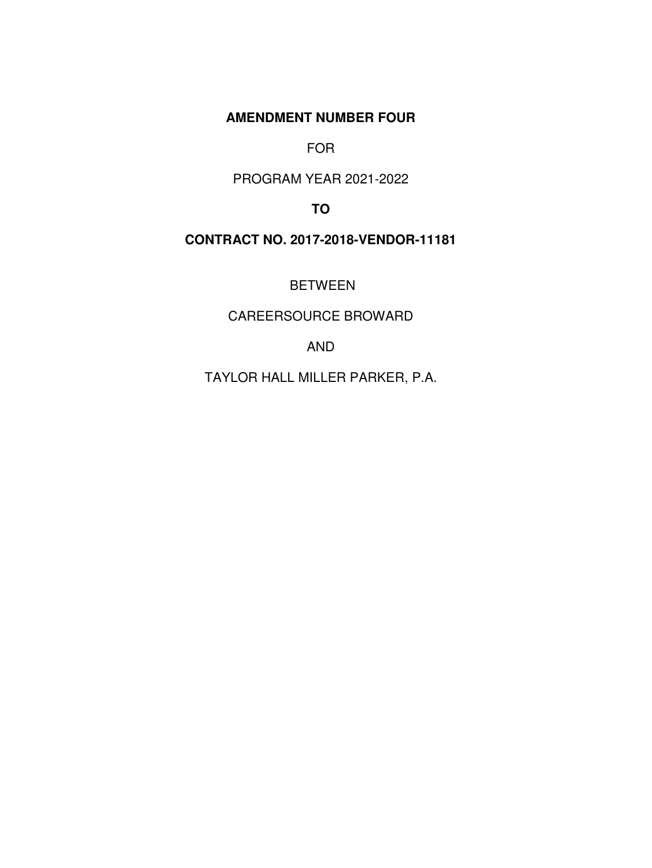**AMENDMENT NUMBER FOUR** 

FOR

PROGRAM YEAR 2021-2022

**TO** 

**CONTRACT NO. 2017-2018-VENDOR-11181** 

BETWEEN

CAREERSOURCE BROWARD

AND

TAYLOR HALL MILLER PARKER, P.A.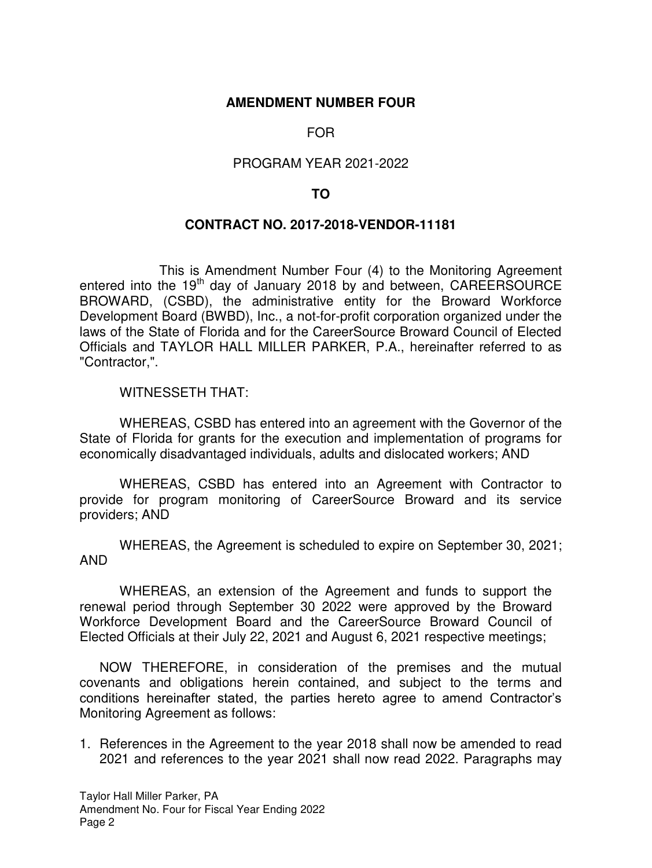### **AMENDMENT NUMBER FOUR**

# FOR

## PROGRAM YEAR 2021-2022

### **TO**

### **CONTRACT NO. 2017-2018-VENDOR-11181**

 This is Amendment Number Four (4) to the Monitoring Agreement entered into the 19<sup>th</sup> day of January 2018 by and between, CAREERSOURCE BROWARD, (CSBD), the administrative entity for the Broward Workforce Development Board (BWBD), Inc., a not-for-profit corporation organized under the laws of the State of Florida and for the CareerSource Broward Council of Elected Officials and TAYLOR HALL MILLER PARKER, P.A., hereinafter referred to as "Contractor,".

WITNESSETH THAT:

 WHEREAS, CSBD has entered into an agreement with the Governor of the State of Florida for grants for the execution and implementation of programs for economically disadvantaged individuals, adults and dislocated workers; AND

WHEREAS, CSBD has entered into an Agreement with Contractor to provide for program monitoring of CareerSource Broward and its service providers; AND

 WHEREAS, the Agreement is scheduled to expire on September 30, 2021; AND

 WHEREAS, an extension of the Agreement and funds to support the renewal period through September 30 2022 were approved by the Broward Workforce Development Board and the CareerSource Broward Council of Elected Officials at their July 22, 2021 and August 6, 2021 respective meetings;

NOW THEREFORE, in consideration of the premises and the mutual covenants and obligations herein contained, and subject to the terms and conditions hereinafter stated, the parties hereto agree to amend Contractor's Monitoring Agreement as follows:

1. References in the Agreement to the year 2018 shall now be amended to read 2021 and references to the year 2021 shall now read 2022. Paragraphs may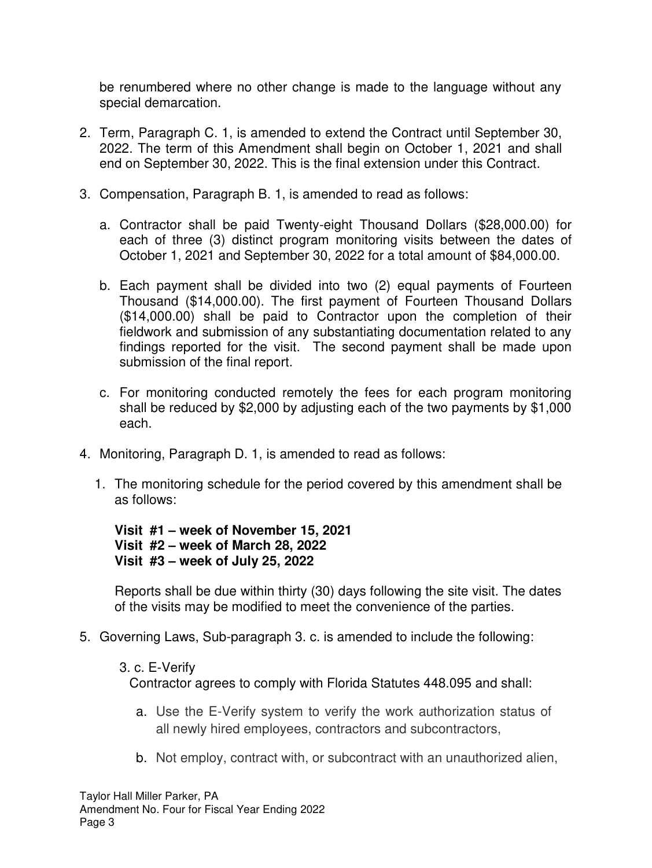be renumbered where no other change is made to the language without any special demarcation.

- 2. Term, Paragraph C. 1, is amended to extend the Contract until September 30, 2022. The term of this Amendment shall begin on October 1, 2021 and shall end on September 30, 2022. This is the final extension under this Contract.
- 3. Compensation, Paragraph B. 1, is amended to read as follows:
	- a. Contractor shall be paid Twenty-eight Thousand Dollars (\$28,000.00) for each of three (3) distinct program monitoring visits between the dates of October 1, 2021 and September 30, 2022 for a total amount of \$84,000.00.
	- b. Each payment shall be divided into two (2) equal payments of Fourteen Thousand (\$14,000.00). The first payment of Fourteen Thousand Dollars (\$14,000.00) shall be paid to Contractor upon the completion of their fieldwork and submission of any substantiating documentation related to any findings reported for the visit. The second payment shall be made upon submission of the final report.
	- c. For monitoring conducted remotely the fees for each program monitoring shall be reduced by \$2,000 by adjusting each of the two payments by \$1,000 each.
- 4. Monitoring, Paragraph D. 1, is amended to read as follows:
	- 1. The monitoring schedule for the period covered by this amendment shall be as follows:

**Visit #1 – week of November 15, 2021 Visit #2 – week of March 28, 2022 Visit #3 – week of July 25, 2022** 

Reports shall be due within thirty (30) days following the site visit. The dates of the visits may be modified to meet the convenience of the parties.

- 5. Governing Laws, Sub-paragraph 3. c. is amended to include the following:
	- 3. c. E-Verify

Contractor agrees to comply with Florida Statutes 448.095 and shall:

- a. Use the E-Verify system to verify the work authorization status of all newly hired employees, contractors and subcontractors,
- b. Not employ, contract with, or subcontract with an unauthorized alien,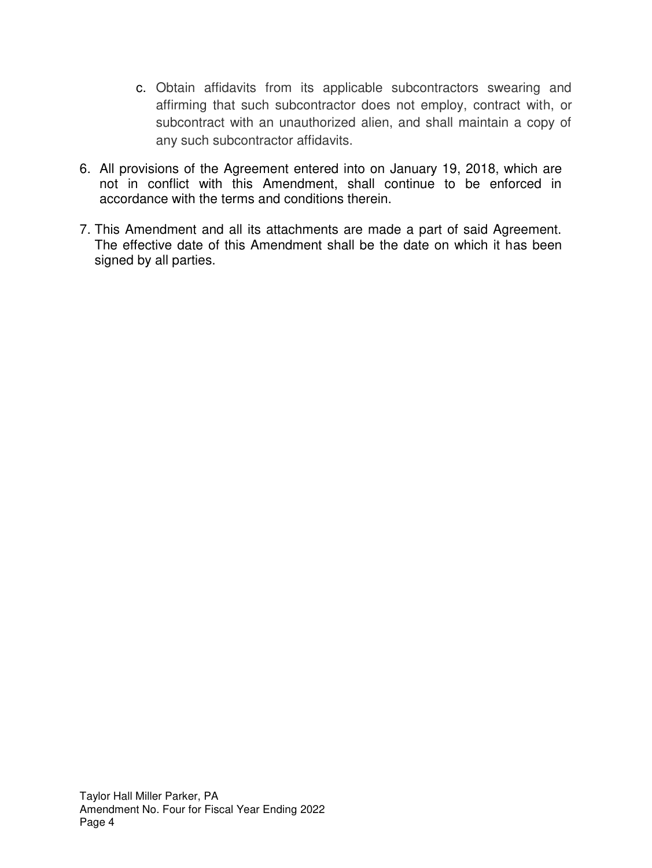- c. Obtain affidavits from its applicable subcontractors swearing and affirming that such subcontractor does not employ, contract with, or subcontract with an unauthorized alien, and shall maintain a copy of any such subcontractor affidavits.
- 6. All provisions of the Agreement entered into on January 19, 2018, which are not in conflict with this Amendment, shall continue to be enforced in accordance with the terms and conditions therein.
- 7. This Amendment and all its attachments are made a part of said Agreement. The effective date of this Amendment shall be the date on which it has been signed by all parties.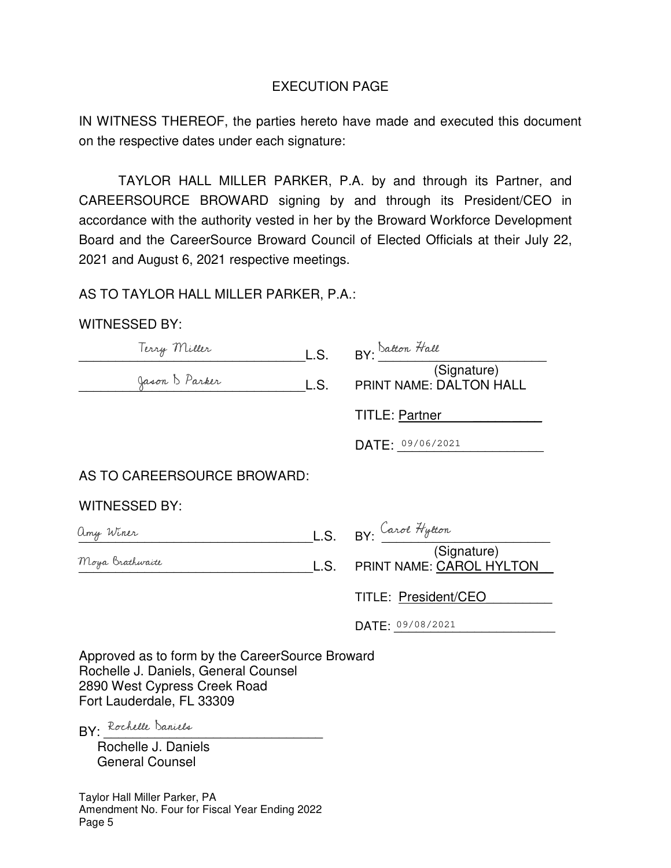# EXECUTION PAGE

IN WITNESS THEREOF, the parties hereto have made and executed this document on the respective dates under each signature:

TAYLOR HALL MILLER PARKER, P.A. by and through its Partner, and CAREERSOURCE BROWARD signing by and through its President/CEO in accordance with the authority vested in her by the Broward Workforce Development Board and the CareerSource Broward Council of Elected Officials at their July 22, 2021 and August 6, 2021 respective meetings.

## AS TO TAYLOR HALL MILLER PARKER, P.A.:

## WITNESSED BY:

| Terry Miller                | L.S. | BY: Datton Hall                               |
|-----------------------------|------|-----------------------------------------------|
| Jason B Parker              | L.S. | (Signature)<br><b>PRINT NAME: DALTON HALL</b> |
|                             |      | <b>TITLE: Partner</b>                         |
|                             |      | DATE: 09/06/2021                              |
| AS TO CAREERSOURCE BROWARD: |      |                                               |
| <b>WITNESSED BY:</b>        |      |                                               |
| amy Winer                   | L.S. | BY: Carol Hytton                              |
| Moya Brathwaite             | L.S. | (Signature)<br>PRINT NAME: CAROL HYLTON       |
|                             |      | <b>TITLE: President/CEO</b>                   |
|                             |      | DATE: 09/08/2021                              |
|                             |      |                                               |

Approved as to form by the CareerSource Broward Rochelle J. Daniels, General Counsel 2890 West Cypress Creek Road Fort Lauderdale, FL 33309

BY: Rochelle Daniels

 Rochelle J. Daniels General Counsel

Taylor Hall Miller Parker, PA Amendment No. Four for Fiscal Year Ending 2022 Page 5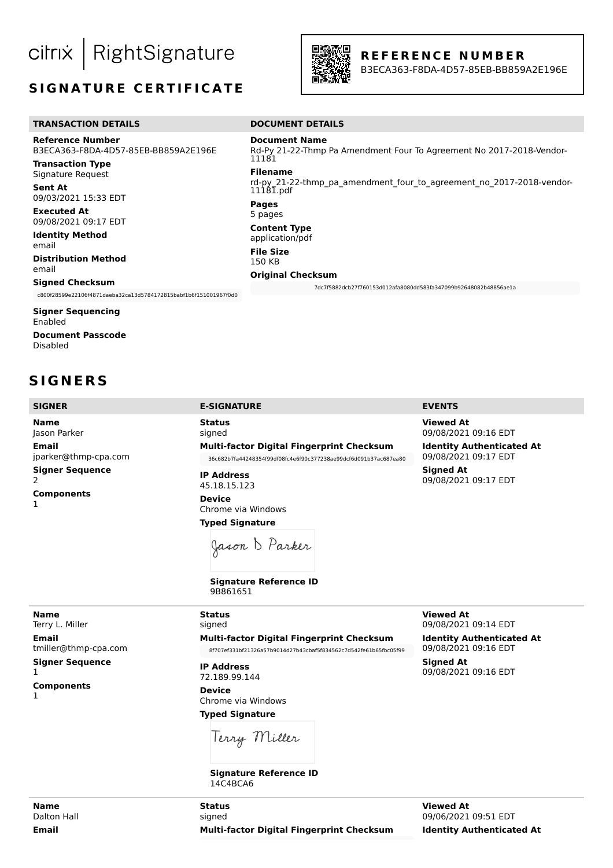RightSignature citrix

# **SIGNATURE CERTIFICATE**



### **R E F E R E N C E N U M B E R**

B3ECA363-F8DA-4D57-85EB-BB859A2E196E

#### **TRANSACTION DETAILS** DOCUMENT DETAILS

**Reference Number** B3ECA363-F8DA-4D57-85EB-BB859A2E196E

**Transaction Type** Signature Request

**Sent At** 09/03/2021 15:33 EDT

**Executed At** 09/08/2021 09:17 EDT

**Identity Method** email

**Distribution Method** email

#### **Signed Checksum**

c800f28599e22106f4871daeba32ca13d5784172815babf1b6f151001967f0d0

**Signer Sequencing** Enabled **Document Passcode** Disabled

# **S I G N E R S**

**Name** Jason Parker **Email** jparker@thmp-cpa.com **Signer Sequence** 2 **Components** 1

#### Rd-Py 21-22-Thmp Pa Amendment Four To Agreement No 2017-2018-Vendor-11181

**Document Name**

**Filename** rd-py\_21-22-thmp\_pa\_amendment\_four\_to\_agreement\_no\_2017-2018-vendor-11181.pdf **Pages**

# 5 pages

**Content Type** application/pdf

### **File Size**

150 KB

**Original Checksum**

7dc7f5882dcb27f760153d012afa8080dd583fa347099b92648082b48856ae1a

**Status** signed **Multi-factor Digital Fingerprint Checksum** 36c682b7fa44248354f99df08fc4e6f90c377238ae99dcf6d091b37ac687ea80

**IP Address** 45.18.15.123

**Device** Chrome via Windows **Typed Signature**

Jason B Parker

**Signature Reference ID** 9B861651

#### **SIGNER E-SIGNATURE EVENTS**

**Viewed At** 09/08/2021 09:16 EDT

**Identity Authenticated At** 09/08/2021 09:17 EDT **Signed At** 09/08/2021 09:17 EDT

**Name** Terry L. Miller **Email**

tmiller@thmp-cpa.com **Signer Sequence** 1

**Components** 1

signed **Multi-factor Digital Fingerprint Checksum** 8f707ef331bf21326a57b9014d27b43cbaf5f834562c7d542fe61b65fbc05f99

**IP Address** 72.189.99.144

**Status**

**Device** Chrome via Windows

**Typed Signature**

Terry Miller

**Signature Reference ID** 14C4BCA6

**Viewed At** 09/08/2021 09:14 EDT

**Identity Authenticated At** 09/08/2021 09:16 EDT

**Signed At** 09/08/2021 09:16 EDT

**Name** Dalton Hall **Email**

**Status** signed **Multi-factor Digital Fingerprint Checksum**

**Viewed At** 09/06/2021 09:51 EDT **Identity Authenticated At**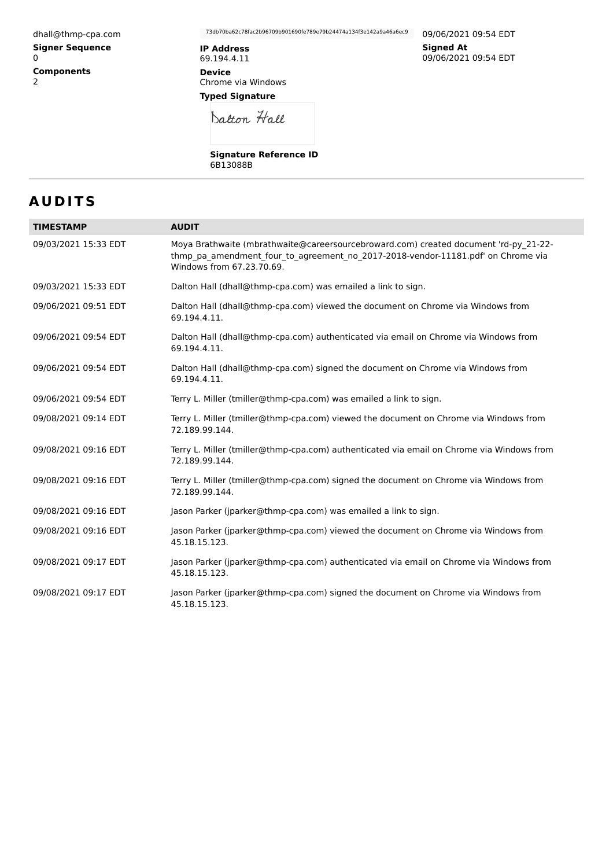dhall@thmp-cpa.com **Signer Sequence** 0 **Components** 2

73db70ba62c78fac2b96709b901690fe789e79b24474a134f3e142a9a46a6ec9

**IP Address** 69.194.4.11 **Device** Chrome via Windows **Typed Signature**

09/06/2021 09:54 EDT **Signed At** 09/06/2021 09:54 EDT

Datton Hall

**Signature Reference ID** 6B13088B

# **A U D I T S**

| <b>TIMESTAMP</b>     | <b>AUDIT</b>                                                                                                                                                                                          |
|----------------------|-------------------------------------------------------------------------------------------------------------------------------------------------------------------------------------------------------|
| 09/03/2021 15:33 EDT | Moya Brathwaite (mbrathwaite@careersourcebroward.com) created document 'rd-py 21-22-<br>thmp pa amendment four to agreement no 2017-2018-vendor-11181.pdf' on Chrome via<br>Windows from 67.23.70.69. |
| 09/03/2021 15:33 EDT | Dalton Hall (dhall@thmp-cpa.com) was emailed a link to sign.                                                                                                                                          |
| 09/06/2021 09:51 EDT | Dalton Hall (dhall@thmp-cpa.com) viewed the document on Chrome via Windows from<br>69.194.4.11.                                                                                                       |
| 09/06/2021 09:54 EDT | Dalton Hall (dhall@thmp-cpa.com) authenticated via email on Chrome via Windows from<br>69.194.4.11.                                                                                                   |
| 09/06/2021 09:54 EDT | Dalton Hall (dhall@thmp-cpa.com) signed the document on Chrome via Windows from<br>69.194.4.11.                                                                                                       |
| 09/06/2021 09:54 EDT | Terry L. Miller (tmiller@thmp-cpa.com) was emailed a link to sign.                                                                                                                                    |
| 09/08/2021 09:14 EDT | Terry L. Miller (tmiller@thmp-cpa.com) viewed the document on Chrome via Windows from<br>72.189.99.144.                                                                                               |
| 09/08/2021 09:16 EDT | Terry L. Miller (tmiller@thmp-cpa.com) authenticated via email on Chrome via Windows from<br>72.189.99.144.                                                                                           |
| 09/08/2021 09:16 EDT | Terry L. Miller (tmiller@thmp-cpa.com) signed the document on Chrome via Windows from<br>72.189.99.144.                                                                                               |
| 09/08/2021 09:16 EDT | Jason Parker (jparker@thmp-cpa.com) was emailed a link to sign.                                                                                                                                       |
| 09/08/2021 09:16 EDT | Jason Parker (jparker@thmp-cpa.com) viewed the document on Chrome via Windows from<br>45.18.15.123.                                                                                                   |
| 09/08/2021 09:17 EDT | Jason Parker (jparker@thmp-cpa.com) authenticated via email on Chrome via Windows from<br>45.18.15.123.                                                                                               |
| 09/08/2021 09:17 EDT | Jason Parker (jparker@thmp-cpa.com) signed the document on Chrome via Windows from<br>45.18.15.123.                                                                                                   |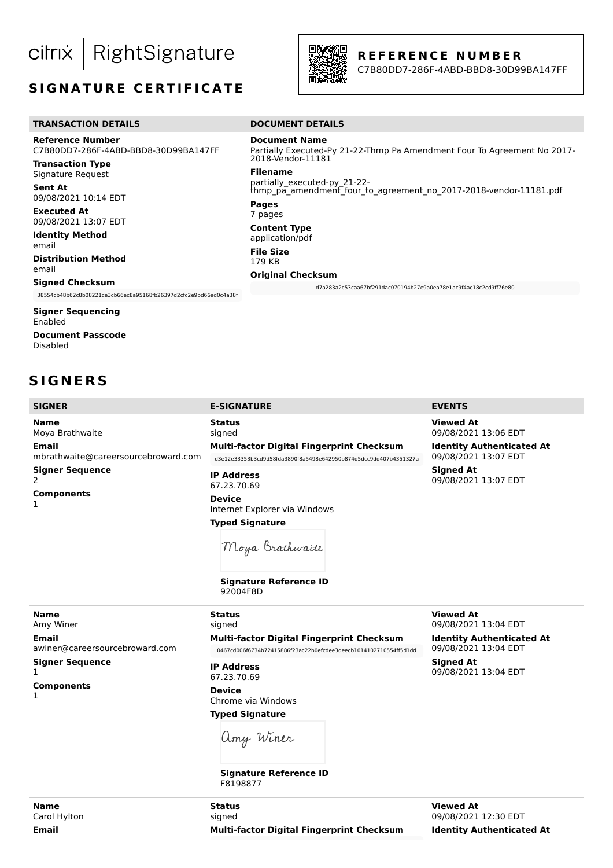RightSignature citrix

# **SIGNATURE CERTIFICATE**



**Document Name**

2018-Vendor-11181

**Original Checksum**

partially\_executed-py\_21-22-

**Filename**

**Pages** 7 pages **Content Type** application/pdf **File Size** 179 KB

### **R E F E R E N C E N U M B E R**

Partially Executed-Py 21-22-Thmp Pa Amendment Four To Agreement No 2017-

thmp\_pa\_amendment\_four\_to\_agreement\_no\_2017-2018-vendor-11181.pdf

d7a283a2c53caa67bf291dac070194b27e9a0ea78e1ac9f4ac18c2cd9ff76e80

C7B80DD7-286F-4ABD-BBD8-30D99BA147FF

#### **TRANSACTION DETAILS** DOCUMENT DETAILS

**Reference Number** C7B80DD7-286F-4ABD-BBD8-30D99BA147FF

**Transaction Type** Signature Request

**Sent At** 09/08/2021 10:14 EDT

**Executed At** 09/08/2021 13:07 EDT

**Identity Method** email

**Distribution Method** email

#### **Signed Checksum**

38554cb48b62c8b08221ce3cb66ec8a95168fb26397d2cfc2e9bd66ed0c4a38f

**Signer Sequencing** Enabled **Document Passcode** Disabled

**S I G N E R S**

### **SIGNER E-SIGNATURE EVENTS**

**Status** signed

**Name** Moya Brathwaite **Email** mbrathwaite@careersourcebroward.com **Signer Sequence** 2 **Components** 1

**Multi-factor Digital Fingerprint Checksum** d3e12e33353b3cd9d58fda3890f8a5498e642950b874d5dcc9dd407b4351327a **IP Address**

67.23.70.69 **Device** Internet Explorer via Windows **Typed Signature**

**Viewed At**

**Signed At** 

09/08/2021 13:04 EDT **Identity Authenticated At** 09/08/2021 13:04 EDT

09/08/2021 13:04 EDT

**Viewed At** 09/08/2021 13:06 EDT

**Identity Authenticated At** 09/08/2021 13:07 EDT

**Signed At** 09/08/2021 13:07 EDT

Moya Brathwaite

**Signature Reference ID** 92004F8D

**Name** Amy Winer **Email** awiner@careersourcebroward.com **Signer Sequence** 1

**Components**

1

signed **Multi-factor Digital Fingerprint Checksum** 0467cd006f6734b72415886f23ac22b0efcdee3deecb1014102710554ff5d1dd

**IP Address** 67.23.70.69

**Status**

**Device** Chrome via Windows **Typed Signature**

amy Winer

**Signature Reference ID** F8198877

**Viewed At** 09/08/2021 12:30 EDT **Identity Authenticated At**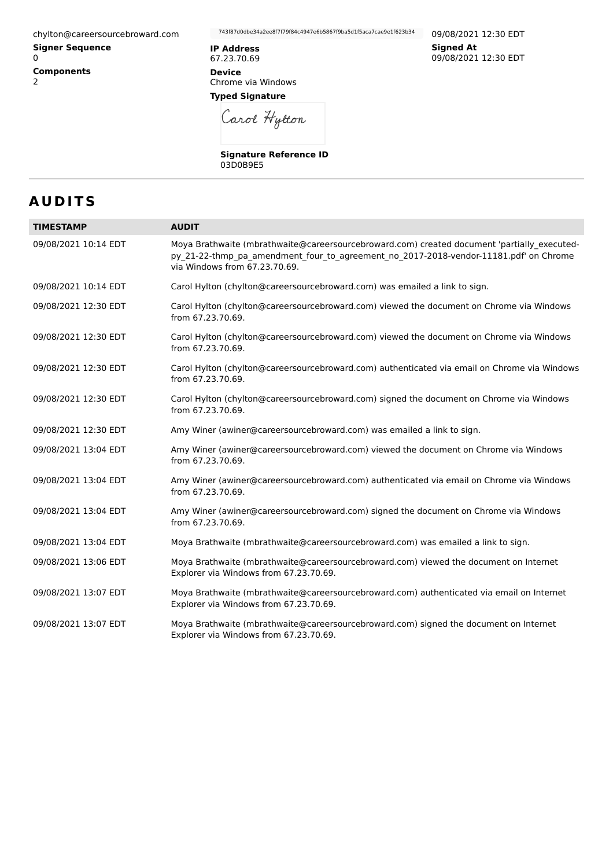chylton@careersourcebroward.com

**Signer Sequence** 0 **Components** 2

743f87d0dbe34a2ee8f7f79f84c4947e6b5867f9ba5d1f5aca7cae9e1f623b34

**IP Address** 67.23.70.69 **Device**

Chrome via Windows **Typed Signature**

Carol Hytton

**Signature Reference ID** 03D0B9E5

09/08/2021 12:30 EDT **Signed At** 09/08/2021 12:30 EDT

# **A U D I T S**

| <b>TIMESTAMP</b>     | <b>AUDIT</b>                                                                                                                                                                                                          |
|----------------------|-----------------------------------------------------------------------------------------------------------------------------------------------------------------------------------------------------------------------|
| 09/08/2021 10:14 EDT | Moya Brathwaite (mbrathwaite@careersourcebroward.com) created document 'partially executed-<br>py 21-22-thmp pa amendment four to agreement no 2017-2018-vendor-11181.pdf' on Chrome<br>via Windows from 67.23.70.69. |
| 09/08/2021 10:14 EDT | Carol Hylton (chylton@careersourcebroward.com) was emailed a link to sign.                                                                                                                                            |
| 09/08/2021 12:30 EDT | Carol Hylton (chylton@careersourcebroward.com) viewed the document on Chrome via Windows<br>from 67.23.70.69.                                                                                                         |
| 09/08/2021 12:30 EDT | Carol Hylton (chylton@careersourcebroward.com) viewed the document on Chrome via Windows<br>from 67.23.70.69.                                                                                                         |
| 09/08/2021 12:30 EDT | Carol Hylton (chylton@careersourcebroward.com) authenticated via email on Chrome via Windows<br>from 67.23.70.69.                                                                                                     |
| 09/08/2021 12:30 EDT | Carol Hylton (chylton@careersourcebroward.com) signed the document on Chrome via Windows<br>from 67.23.70.69.                                                                                                         |
| 09/08/2021 12:30 EDT | Amy Winer (awiner@careersourcebroward.com) was emailed a link to sign.                                                                                                                                                |
| 09/08/2021 13:04 EDT | Amy Winer (awiner@careersourcebroward.com) viewed the document on Chrome via Windows<br>from 67.23.70.69.                                                                                                             |
| 09/08/2021 13:04 EDT | Amy Winer (awiner@careersourcebroward.com) authenticated via email on Chrome via Windows<br>from 67.23.70.69.                                                                                                         |
| 09/08/2021 13:04 EDT | Amy Winer (awiner@careersourcebroward.com) signed the document on Chrome via Windows<br>from 67.23.70.69.                                                                                                             |
| 09/08/2021 13:04 EDT | Moya Brathwaite (mbrathwaite@careersourcebroward.com) was emailed a link to sign.                                                                                                                                     |
| 09/08/2021 13:06 EDT | Moya Brathwaite (mbrathwaite@careersourcebroward.com) viewed the document on Internet<br>Explorer via Windows from 67.23.70.69.                                                                                       |
| 09/08/2021 13:07 EDT | Moya Brathwaite (mbrathwaite@careersourcebroward.com) authenticated via email on Internet<br>Explorer via Windows from 67.23.70.69.                                                                                   |
| 09/08/2021 13:07 EDT | Moya Brathwaite (mbrathwaite@careersourcebroward.com) signed the document on Internet<br>Explorer via Windows from 67.23.70.69.                                                                                       |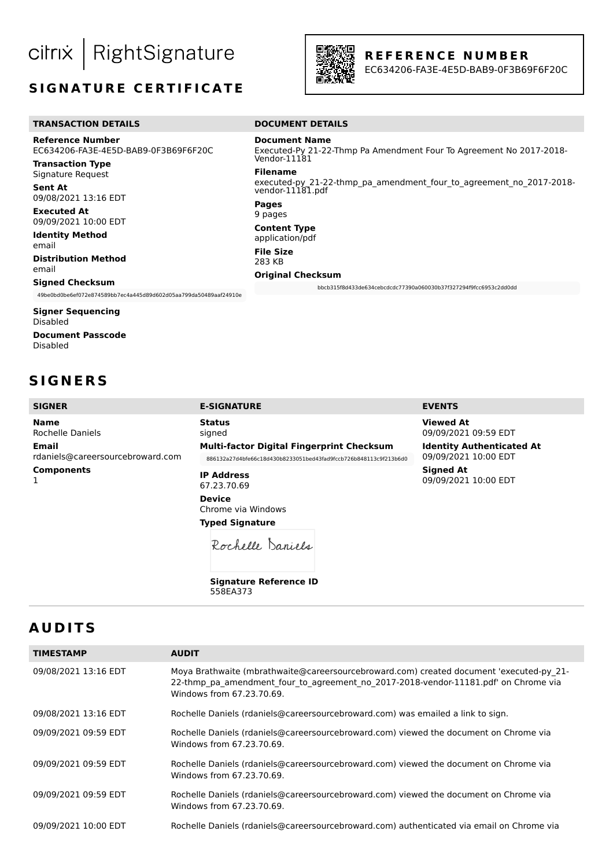RightSignature citrix

# **SIGNATURE CERTIFICATE**



**Document Name**

vendor-11181.pdf

**Original Checksum**

Vendor-11181 **Filename**

**Pages** 9 pages **Content Type** application/pdf **File Size** 283 KB

**R E F E R E N C E N U M B E R**

Executed-Py 21-22-Thmp Pa Amendment Four To Agreement No 2017-2018-

executed-py 21-22-thmp\_pa\_amendment\_four\_to\_agreement\_no\_2017-2018-

bbcb315f8d433de634cebcdcdc77390a060030b37f327294f9fcc6953c2dd0dd

EC634206-FA3E-4E5D-BAB9-0F3B69F6F20C

#### **TRANSACTION DETAILS DOCUMENT DETAILS**

**Reference Number** EC634206-FA3E-4E5D-BAB9-0F3B69F6F20C

**Transaction Type** Signature Request

**Sent At** 09/08/2021 13:16 EDT

**Executed At** 09/09/2021 10:00 EDT

**Identity Method** email **Distribution Method**

email

#### **Signed Checksum**

49be0bd0be6ef072e874589bb7ec4a445d89d602d05aa799da50489aaf24910e

**Signer Sequencing** Disabled **Document Passcode**

Disabled

# **S I G N E R S**

## **SIGNER E-SIGNATURE EVENTS**

**Status**

**Name** Rochelle Daniels **Email** rdaniels@careersourcebroward.com **Components** 1

signed **Multi-factor Digital Fingerprint Checksum** 886132a27d4bfe66c18d430b8233051bed43fad9fccb726b848113c9f213b6d0

**IP Address** 67.23.70.69 **Device**

Chrome via Windows **Typed Signature**

Rochelle Daniels

**Signature Reference ID** 558EA373

**Viewed At** 09/09/2021 09:59 EDT

**Identity Authenticated At** 09/09/2021 10:00 EDT **Signed At** 09/09/2021 10:00 EDT

# **A U D I T S**

| <b>TIMESTAMP</b>     | <b>AUDIT</b>                                                                                                                                                                                                |
|----------------------|-------------------------------------------------------------------------------------------------------------------------------------------------------------------------------------------------------------|
| 09/08/2021 13:16 EDT | Moya Brathwaite (mbrathwaite@careersourcebroward.com) created document 'executed-py 21-<br>22-thmp_pa_amendment_four_to_agreement_no_2017-2018-vendor-11181.pdf' on Chrome via<br>Windows from 67.23.70.69. |
| 09/08/2021 13:16 EDT | Rochelle Daniels (rdaniels@careersourcebroward.com) was emailed a link to sign.                                                                                                                             |
| 09/09/2021 09:59 EDT | Rochelle Daniels (rdaniels@careersourcebroward.com) viewed the document on Chrome via<br>Windows from 67.23.70.69.                                                                                          |
| 09/09/2021 09:59 EDT | Rochelle Daniels (rdaniels@careersourcebroward.com) viewed the document on Chrome via<br>Windows from 67.23.70.69.                                                                                          |
| 09/09/2021 09:59 EDT | Rochelle Daniels (rdaniels@careersourcebroward.com) viewed the document on Chrome via<br>Windows from 67.23.70.69.                                                                                          |
| 09/09/2021 10:00 EDT | Rochelle Daniels (rdaniels@careersourcebroward.com) authenticated via email on Chrome via                                                                                                                   |